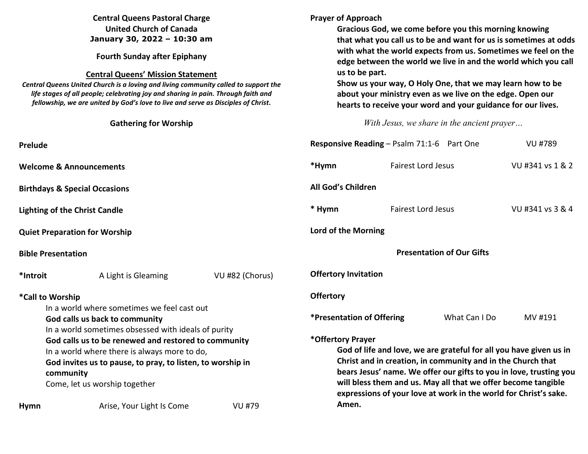| <b>Central Queens Pastoral Charge</b><br><b>United Church of Canada</b><br>January 30, 2022 - 10:30 am<br><b>Fourth Sunday after Epiphany</b><br><b>Central Queens' Mission Statement</b><br>Central Queens United Church is a loving and living community called to support the<br>life stages of all people; celebrating joy and sharing in pain. Through faith and<br>fellowship, we are united by God's love to live and serve as Disciples of Christ.<br><b>Gathering for Worship</b> |                           |                                                                                  | <b>Prayer of Approach</b><br>Gracious God, we come before you this morning knowing<br>that what you call us to be and want for us is sometimes at odds<br>with what the world expects from us. Sometimes we feel on the<br>edge between the world we live in and the world which you call<br>us to be part.<br>Show us your way, O Holy One, that we may learn how to be<br>about your ministry even as we live on the edge. Open our<br>hearts to receive your word and your guidance for our lives.<br>With Jesus, we share in the ancient prayer |                                                                                                                                                                                                                                                                                                                                                               |         |                  |
|--------------------------------------------------------------------------------------------------------------------------------------------------------------------------------------------------------------------------------------------------------------------------------------------------------------------------------------------------------------------------------------------------------------------------------------------------------------------------------------------|---------------------------|----------------------------------------------------------------------------------|-----------------------------------------------------------------------------------------------------------------------------------------------------------------------------------------------------------------------------------------------------------------------------------------------------------------------------------------------------------------------------------------------------------------------------------------------------------------------------------------------------------------------------------------------------|---------------------------------------------------------------------------------------------------------------------------------------------------------------------------------------------------------------------------------------------------------------------------------------------------------------------------------------------------------------|---------|------------------|
| Prelude                                                                                                                                                                                                                                                                                                                                                                                                                                                                                    |                           |                                                                                  | <b>Responsive Reading - Psalm 71:1-6 Part One</b><br><b>VU #789</b>                                                                                                                                                                                                                                                                                                                                                                                                                                                                                 |                                                                                                                                                                                                                                                                                                                                                               |         |                  |
| <b>Welcome &amp; Announcements</b>                                                                                                                                                                                                                                                                                                                                                                                                                                                         |                           |                                                                                  | *Hymn                                                                                                                                                                                                                                                                                                                                                                                                                                                                                                                                               | <b>Fairest Lord Jesus</b>                                                                                                                                                                                                                                                                                                                                     |         | VU #341 vs 1 & 2 |
| <b>Birthdays &amp; Special Occasions</b>                                                                                                                                                                                                                                                                                                                                                                                                                                                   |                           |                                                                                  | All God's Children                                                                                                                                                                                                                                                                                                                                                                                                                                                                                                                                  |                                                                                                                                                                                                                                                                                                                                                               |         |                  |
| <b>Lighting of the Christ Candle</b>                                                                                                                                                                                                                                                                                                                                                                                                                                                       |                           |                                                                                  | * Hymn                                                                                                                                                                                                                                                                                                                                                                                                                                                                                                                                              | <b>Fairest Lord Jesus</b>                                                                                                                                                                                                                                                                                                                                     |         | VU #341 vs 3 & 4 |
| <b>Quiet Preparation for Worship</b>                                                                                                                                                                                                                                                                                                                                                                                                                                                       |                           |                                                                                  | Lord of the Morning                                                                                                                                                                                                                                                                                                                                                                                                                                                                                                                                 |                                                                                                                                                                                                                                                                                                                                                               |         |                  |
| <b>Bible Presentation</b>                                                                                                                                                                                                                                                                                                                                                                                                                                                                  |                           |                                                                                  | <b>Presentation of Our Gifts</b>                                                                                                                                                                                                                                                                                                                                                                                                                                                                                                                    |                                                                                                                                                                                                                                                                                                                                                               |         |                  |
| *Introit                                                                                                                                                                                                                                                                                                                                                                                                                                                                                   | A Light is Gleaming       | VU #82 (Chorus)                                                                  | <b>Offertory Invitation</b>                                                                                                                                                                                                                                                                                                                                                                                                                                                                                                                         |                                                                                                                                                                                                                                                                                                                                                               |         |                  |
| *Call to Worship<br>In a world where sometimes we feel cast out<br>God calls us back to community<br>In a world sometimes obsessed with ideals of purity<br>God calls us to be renewed and restored to community<br>In a world where there is always more to do,<br>God invites us to pause, to pray, to listen, to worship in<br>community<br>Come, let us worship together                                                                                                               |                           | <b>Offertory</b><br><i><b>*Presentation of Offering</b></i><br>*Offertory Prayer |                                                                                                                                                                                                                                                                                                                                                                                                                                                                                                                                                     | What Can I Do<br>God of life and love, we are grateful for all you have given us in<br>Christ and in creation, in community and in the Church that<br>bears Jesus' name. We offer our gifts to you in love, trusting you<br>will bless them and us. May all that we offer become tangible<br>expressions of your love at work in the world for Christ's sake. | MV #191 |                  |
| <b>Hymn</b>                                                                                                                                                                                                                                                                                                                                                                                                                                                                                | Arise, Your Light Is Come | <b>VU #79</b>                                                                    | Amen.                                                                                                                                                                                                                                                                                                                                                                                                                                                                                                                                               |                                                                                                                                                                                                                                                                                                                                                               |         |                  |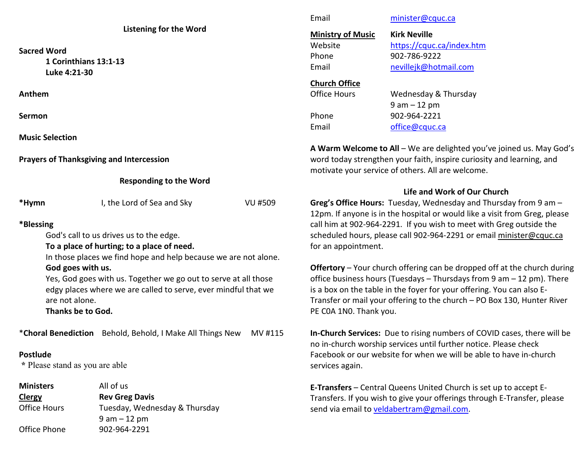|                                                 |                                                                 |         | Email                                                                                                                                                                                                                                 | minister@cquc.ca                                                           |  |  |
|-------------------------------------------------|-----------------------------------------------------------------|---------|---------------------------------------------------------------------------------------------------------------------------------------------------------------------------------------------------------------------------------------|----------------------------------------------------------------------------|--|--|
| <b>Listening for the Word</b>                   |                                                                 |         | <b>Ministry of Music</b>                                                                                                                                                                                                              | <b>Kirk Neville</b>                                                        |  |  |
|                                                 |                                                                 |         | Website                                                                                                                                                                                                                               | https://cquc.ca/index.htm                                                  |  |  |
| <b>Sacred Word</b>                              |                                                                 |         | Phone                                                                                                                                                                                                                                 | 902-786-9222                                                               |  |  |
| 1 Corinthians 13:1-13                           |                                                                 |         | nevillejk@hotmail.com<br>Email                                                                                                                                                                                                        |                                                                            |  |  |
| Luke 4:21-30                                    |                                                                 |         | <b>Church Office</b>                                                                                                                                                                                                                  |                                                                            |  |  |
| Anthem                                          |                                                                 |         | <b>Office Hours</b><br>Wednesday & Thursday                                                                                                                                                                                           |                                                                            |  |  |
|                                                 |                                                                 |         |                                                                                                                                                                                                                                       | $9 am - 12 pm$                                                             |  |  |
| <b>Sermon</b>                                   |                                                                 |         | Phone                                                                                                                                                                                                                                 | 902-964-2221                                                               |  |  |
|                                                 |                                                                 |         | Email                                                                                                                                                                                                                                 | office@cquc.ca                                                             |  |  |
| <b>Music Selection</b>                          |                                                                 |         |                                                                                                                                                                                                                                       |                                                                            |  |  |
|                                                 |                                                                 |         |                                                                                                                                                                                                                                       | A Warm Welcome to All - We are delighted you've joined us. May God's       |  |  |
| <b>Prayers of Thanksgiving and Intercession</b> |                                                                 |         | word today strengthen your faith, inspire curiosity and learning, and                                                                                                                                                                 |                                                                            |  |  |
|                                                 |                                                                 |         | motivate your service of others. All are welcome.                                                                                                                                                                                     |                                                                            |  |  |
|                                                 | <b>Responding to the Word</b>                                   |         |                                                                                                                                                                                                                                       |                                                                            |  |  |
|                                                 |                                                                 |         | Life and Work of Our Church                                                                                                                                                                                                           |                                                                            |  |  |
| *Hymn                                           | I, the Lord of Sea and Sky<br><b>VU #509</b>                    |         | Greg's Office Hours: Tuesday, Wednesday and Thursday from 9 am -                                                                                                                                                                      |                                                                            |  |  |
|                                                 |                                                                 |         |                                                                                                                                                                                                                                       | 12pm. If anyone is in the hospital or would like a visit from Greg, please |  |  |
| *Blessing                                       |                                                                 |         | call him at 902-964-2291. If you wish to meet with Greg outside the                                                                                                                                                                   |                                                                            |  |  |
|                                                 | God's call to us drives us to the edge.                         |         | scheduled hours, please call 902-964-2291 or email minister@cquc.ca                                                                                                                                                                   |                                                                            |  |  |
|                                                 | To a place of hurting; to a place of need.                      |         | for an appointment.                                                                                                                                                                                                                   |                                                                            |  |  |
|                                                 | In those places we find hope and help because we are not alone. |         |                                                                                                                                                                                                                                       |                                                                            |  |  |
| God goes with us.                               |                                                                 |         | <b>Offertory</b> - Your church offering can be dropped off at the church during<br>office business hours (Tuesdays $-$ Thursdays from 9 am $-$ 12 pm). There<br>is a box on the table in the foyer for your offering. You can also E- |                                                                            |  |  |
|                                                 | Yes, God goes with us. Together we go out to serve at all those |         |                                                                                                                                                                                                                                       |                                                                            |  |  |
|                                                 | edgy places where we are called to serve, ever mindful that we  |         |                                                                                                                                                                                                                                       |                                                                            |  |  |
| are not alone.                                  |                                                                 |         | Transfer or mail your offering to the church - PO Box 130, Hunter River<br>PE COA 1NO. Thank you.                                                                                                                                     |                                                                            |  |  |
| Thanks be to God.                               |                                                                 |         |                                                                                                                                                                                                                                       |                                                                            |  |  |
|                                                 | *Choral Benediction Behold, Behold, I Make All Things New       | MV #115 |                                                                                                                                                                                                                                       | In-Church Services: Due to rising numbers of COVID cases, there will be    |  |  |
|                                                 |                                                                 |         |                                                                                                                                                                                                                                       | no in-church worship services until further notice. Please check           |  |  |
| <b>Postlude</b>                                 |                                                                 |         | Facebook or our website for when we will be able to have in-church                                                                                                                                                                    |                                                                            |  |  |
| * Please stand as you are able                  |                                                                 |         | services again.                                                                                                                                                                                                                       |                                                                            |  |  |
|                                                 |                                                                 |         |                                                                                                                                                                                                                                       |                                                                            |  |  |
| <b>Ministers</b>                                | All of us                                                       |         | E-Transfers - Central Queens United Church is set up to accept E-                                                                                                                                                                     |                                                                            |  |  |
| <b>Clergy</b>                                   | <b>Rev Greg Davis</b>                                           |         | Transfers. If you wish to give your offerings through E-Transfer, please                                                                                                                                                              |                                                                            |  |  |
| <b>Office Hours</b>                             | Tuesday, Wednesday & Thursday                                   |         |                                                                                                                                                                                                                                       | send via email to veldabertram@gmail.com.                                  |  |  |
|                                                 | $9 am - 12 pm$                                                  |         |                                                                                                                                                                                                                                       |                                                                            |  |  |

Office Phone 902-964-2291